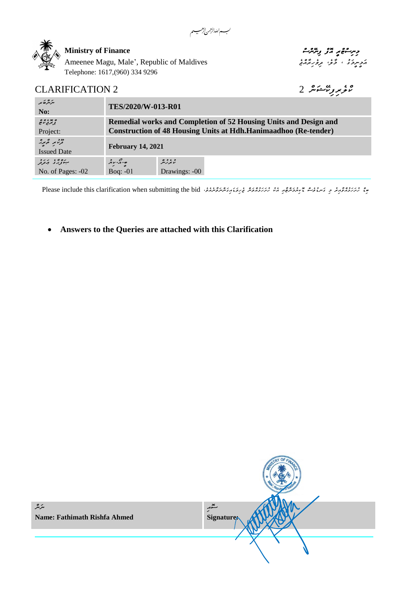a



# *ކްލެރިފިކޭޝަން* 2 2 CLARIFICATION

| مترمرة بمر<br>No:                                          | TES/2020/W-013-R01                                                                                                                                |                                      |  |  |
|------------------------------------------------------------|---------------------------------------------------------------------------------------------------------------------------------------------------|--------------------------------------|--|--|
| ه برد و ه<br>تر مرد مرضح<br>Project:                       | <b>Remedial works and Completion of 52 Housing Units and Design and</b><br><b>Construction of 48 Housing Units at Hdh.Hanimaadhoo (Re-tender)</b> |                                      |  |  |
| כבר המוקר המוקר.<br>בני מוקד המוקר ה<br><b>Issued Date</b> | <b>February 14, 2021</b>                                                                                                                          |                                      |  |  |
| ب ده ده به درد.<br>بالورد و مرکز<br>No. of Pages: -02      | ە بۇ بەر<br>Boq: $-01$                                                                                                                            | د ، د ه<br>بربر پېر<br>Drawings: -00 |  |  |

*ބިޑް ހުށަހަޅުއްވާއިރު މި ގަނޑުވެސް ޑޮކިޔުމަންޓާއި އެކު ހުށަހަޅުއްވަން ޖެހިވަޑައިގަންނަވާނެއެވ.ެ* bid the submitting when clarification this include Please

• **Answers to the Queries are attached with this Clarification**